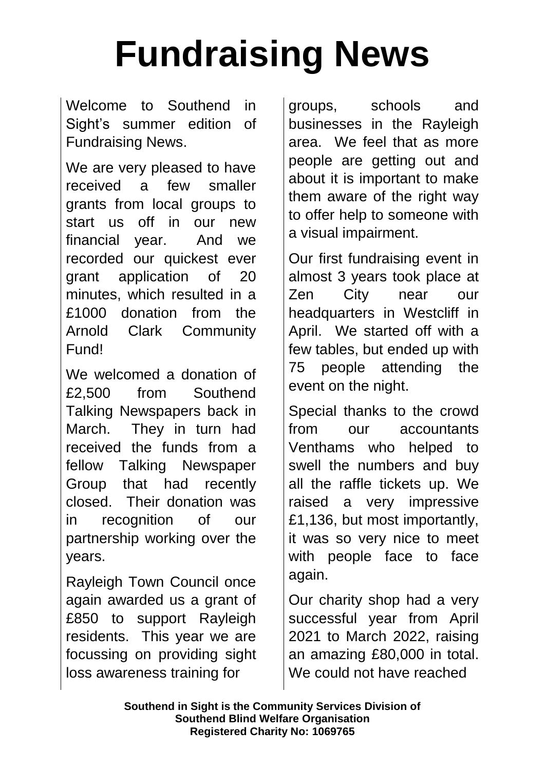## **Fundraising News**

Welcome to Southend in Sight's summer edition of Fundraising News.

We are very pleased to have received a few smaller grants from local groups to start us off in our new financial year. And we recorded our quickest ever grant application of 20 minutes, which resulted in a £1000 donation from the Arnold Clark Community Fund!

We welcomed a donation of £2,500 from Southend Talking Newspapers back in March. They in turn had received the funds from a fellow Talking Newspaper Group that had recently closed. Their donation was in recognition of our partnership working over the years.

Rayleigh Town Council once again awarded us a grant of £850 to support Rayleigh residents. This year we are focussing on providing sight loss awareness training for

groups, schools and businesses in the Rayleigh area. We feel that as more people are getting out and about it is important to make them aware of the right way to offer help to someone with a visual impairment.

Our first fundraising event in almost 3 years took place at Zen City near our headquarters in Westcliff in April. We started off with a few tables, but ended up with 75 people attending the event on the night.

Special thanks to the crowd from our accountants Venthams who helped to swell the numbers and buy all the raffle tickets up. We raised a very impressive £1,136, but most importantly, it was so very nice to meet with people face to face again.

Our charity shop had a very successful year from April 2021 to March 2022, raising an amazing £80,000 in total. We could not have reached